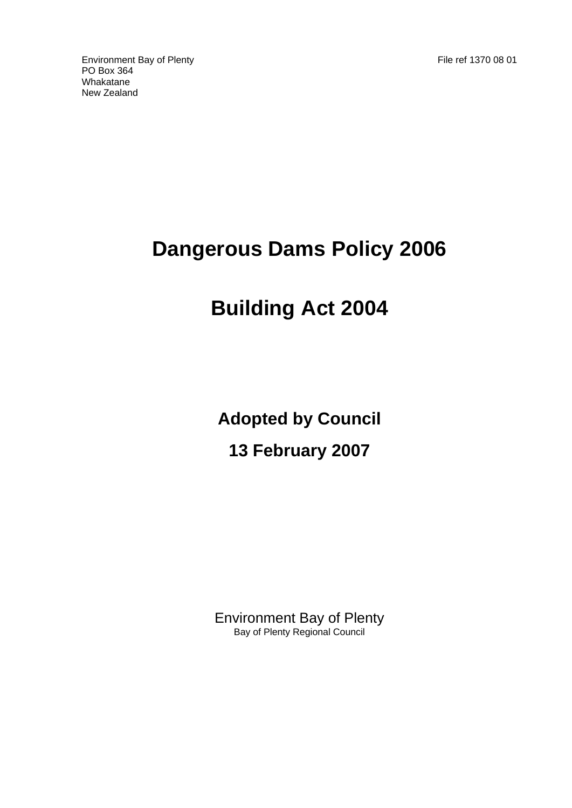Environment Bay of Plenty File ref 1370 08 01 PO Box 364 Whakatane New Zealand

# **Dangerous Dams Policy 2006**

# **Building Act 2004**

**Adopted by Council 13 February 2007** 

Environment Bay of Plenty Bay of Plenty Regional Council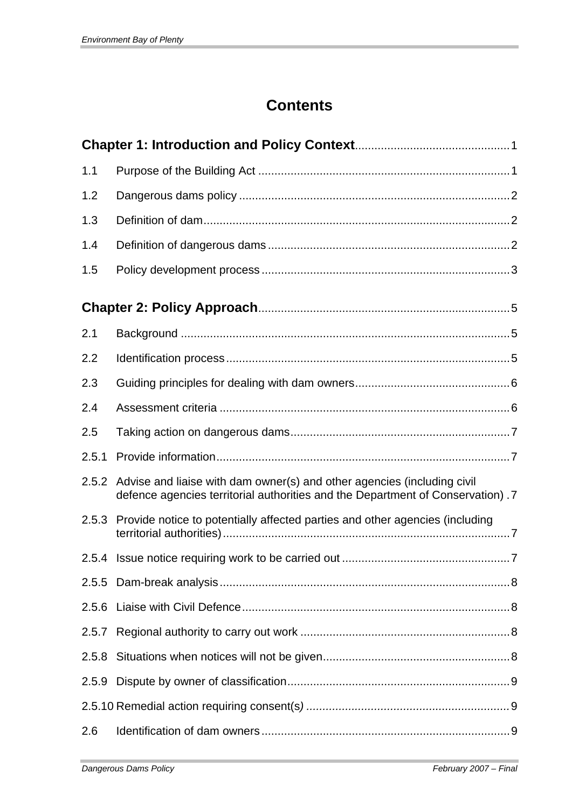# **Contents**

| 1.1   |                                                                                                                                                                  |  |  |
|-------|------------------------------------------------------------------------------------------------------------------------------------------------------------------|--|--|
| 1.2   |                                                                                                                                                                  |  |  |
| 1.3   |                                                                                                                                                                  |  |  |
| 1.4   |                                                                                                                                                                  |  |  |
| 1.5   |                                                                                                                                                                  |  |  |
|       |                                                                                                                                                                  |  |  |
| 2.1   |                                                                                                                                                                  |  |  |
| 2.2   |                                                                                                                                                                  |  |  |
| 2.3   |                                                                                                                                                                  |  |  |
| 2.4   |                                                                                                                                                                  |  |  |
| 2.5   |                                                                                                                                                                  |  |  |
| 2.5.1 |                                                                                                                                                                  |  |  |
|       | 2.5.2 Advise and liaise with dam owner(s) and other agencies (including civil<br>defence agencies territorial authorities and the Department of Conservation). 7 |  |  |
| 2.5.3 | Provide notice to potentially affected parties and other agencies (including                                                                                     |  |  |
|       |                                                                                                                                                                  |  |  |
| 2.5.5 |                                                                                                                                                                  |  |  |
| 2.5.6 |                                                                                                                                                                  |  |  |
| 2.5.7 |                                                                                                                                                                  |  |  |
| 2.5.8 |                                                                                                                                                                  |  |  |
| 2.5.9 |                                                                                                                                                                  |  |  |
|       |                                                                                                                                                                  |  |  |
| 2.6   |                                                                                                                                                                  |  |  |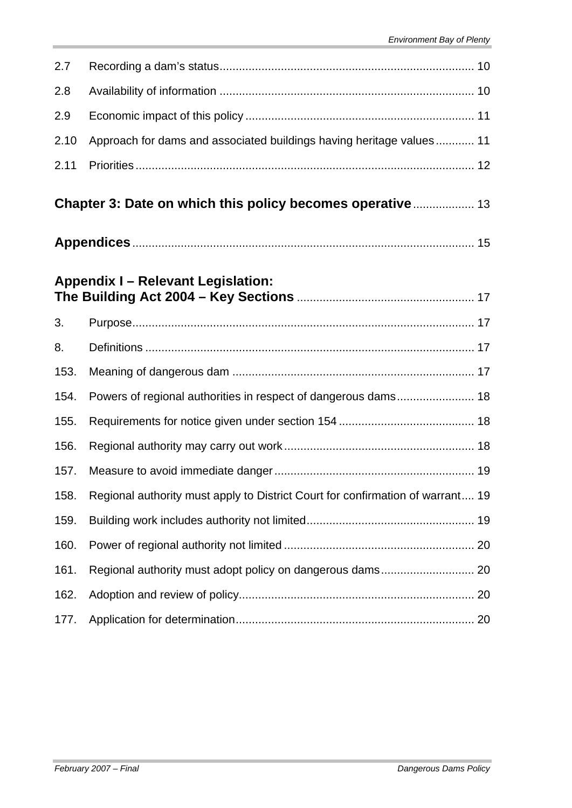| 2.7  |                                                                                |  |
|------|--------------------------------------------------------------------------------|--|
| 2.8  |                                                                                |  |
| 2.9  |                                                                                |  |
| 2.10 | Approach for dams and associated buildings having heritage values 11           |  |
| 2.11 |                                                                                |  |
|      | Chapter 3: Date on which this policy becomes operative 13                      |  |
|      |                                                                                |  |
|      | <b>Appendix I - Relevant Legislation:</b>                                      |  |
| 3.   |                                                                                |  |
| 8.   |                                                                                |  |
| 153. |                                                                                |  |
| 154. | Powers of regional authorities in respect of dangerous dams 18                 |  |
| 155. |                                                                                |  |
| 156. |                                                                                |  |
| 157. |                                                                                |  |
| 158. | Regional authority must apply to District Court for confirmation of warrant 19 |  |
| 159. |                                                                                |  |
| 160. |                                                                                |  |
| 161. |                                                                                |  |
| 162. |                                                                                |  |
| 177. |                                                                                |  |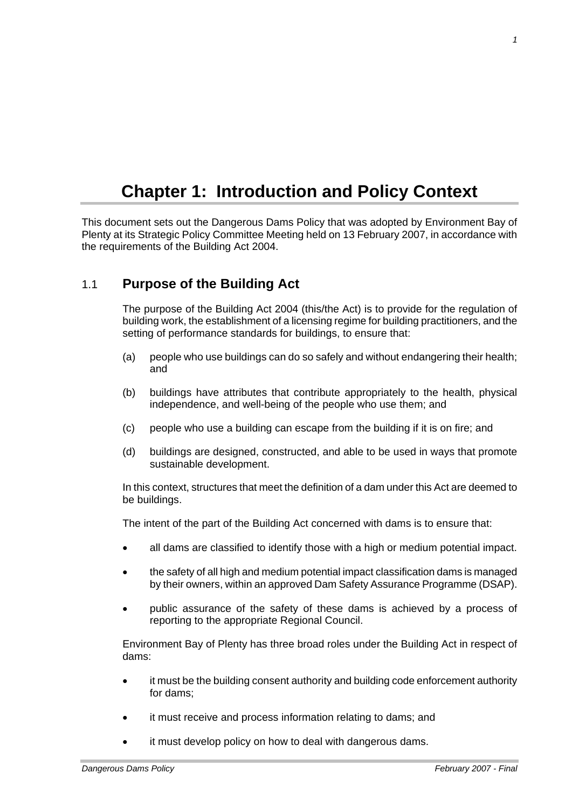# **Chapter 1: Introduction and Policy Context**

This document sets out the Dangerous Dams Policy that was adopted by Environment Bay of Plenty at its Strategic Policy Committee Meeting held on 13 February 2007, in accordance with the requirements of the Building Act 2004.

# 1.1 **Purpose of the Building Act**

The purpose of the Building Act 2004 (this/the Act) is to provide for the regulation of building work, the establishment of a licensing regime for building practitioners, and the setting of performance standards for buildings, to ensure that:

- (a) people who use buildings can do so safely and without endangering their health; and
- (b) buildings have attributes that contribute appropriately to the health, physical independence, and well-being of the people who use them; and
- (c) people who use a building can escape from the building if it is on fire; and
- (d) buildings are designed, constructed, and able to be used in ways that promote sustainable development.

In this context, structures that meet the definition of a dam under this Act are deemed to be buildings.

The intent of the part of the Building Act concerned with dams is to ensure that:

- all dams are classified to identify those with a high or medium potential impact.
- the safety of all high and medium potential impact classification dams is managed by their owners, within an approved Dam Safety Assurance Programme (DSAP).
- public assurance of the safety of these dams is achieved by a process of reporting to the appropriate Regional Council.

Environment Bay of Plenty has three broad roles under the Building Act in respect of dams:

- it must be the building consent authority and building code enforcement authority for dams;
- it must receive and process information relating to dams; and
- it must develop policy on how to deal with dangerous dams.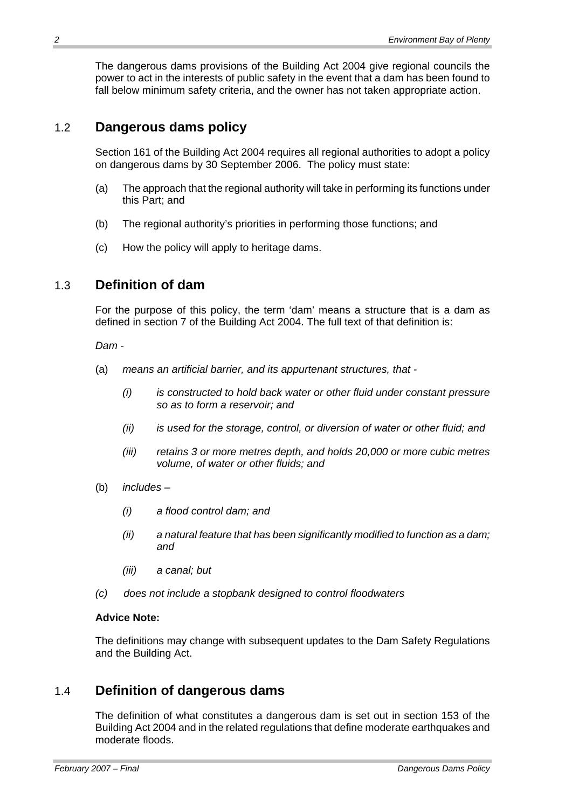The dangerous dams provisions of the Building Act 2004 give regional councils the power to act in the interests of public safety in the event that a dam has been found to fall below minimum safety criteria, and the owner has not taken appropriate action.

# 1.2 **Dangerous dams policy**

Section 161 of the Building Act 2004 requires all regional authorities to adopt a policy on dangerous dams by 30 September 2006. The policy must state:

- (a) The approach that the regional authority will take in performing its functions under this Part; and
- (b) The regional authority's priorities in performing those functions; and
- (c) How the policy will apply to heritage dams.

# 1.3 **Definition of dam**

For the purpose of this policy, the term 'dam' means a structure that is a dam as defined in section 7 of the Building Act 2004. The full text of that definition is:

*Dam -* 

- (a) *means an artificial barrier, and its appurtenant structures, that* 
	- *(i) is constructed to hold back water or other fluid under constant pressure so as to form a reservoir; and*
	- *(ii) is used for the storage, control, or diversion of water or other fluid; and*
	- *(iii) retains 3 or more metres depth, and holds 20,000 or more cubic metres volume, of water or other fluids; and*
- (b) *includes* 
	- *(i) a flood control dam; and*
	- *(ii) a natural feature that has been significantly modified to function as a dam; and*
	- *(iii) a canal; but*
- *(c) does not include a stopbank designed to control floodwaters*

## **Advice Note:**

The definitions may change with subsequent updates to the Dam Safety Regulations and the Building Act.

# 1.4 **Definition of dangerous dams**

The definition of what constitutes a dangerous dam is set out in section 153 of the Building Act 2004 and in the related regulations that define moderate earthquakes and moderate floods.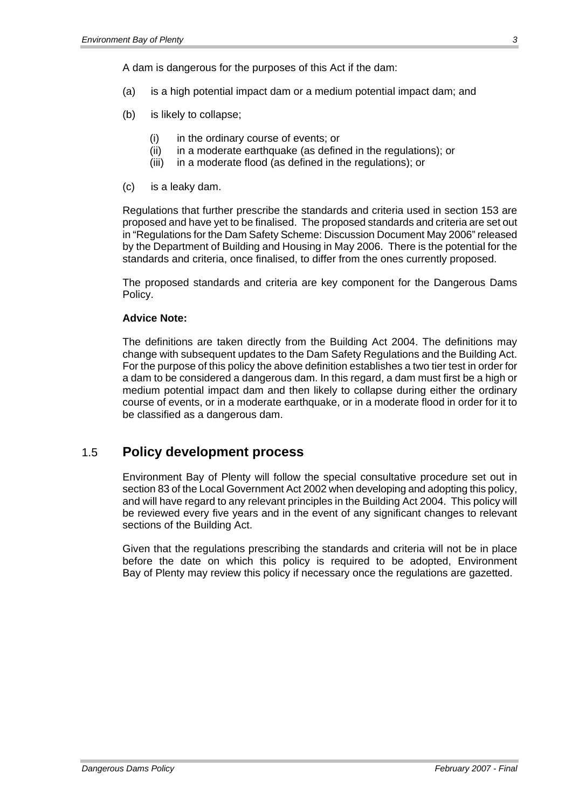A dam is dangerous for the purposes of this Act if the dam:

- (a) is a high potential impact dam or a medium potential impact dam; and
- (b) is likely to collapse;
	- (i) in the ordinary course of events; or
	- (ii) in a moderate earthquake (as defined in the regulations); or
	- (iii) in a moderate flood (as defined in the regulations); or
- (c) is a leaky dam.

Regulations that further prescribe the standards and criteria used in section 153 are proposed and have yet to be finalised. The proposed standards and criteria are set out in "Regulations for the Dam Safety Scheme: Discussion Document May 2006" released by the Department of Building and Housing in May 2006. There is the potential for the standards and criteria, once finalised, to differ from the ones currently proposed.

The proposed standards and criteria are key component for the Dangerous Dams Policy.

### **Advice Note:**

The definitions are taken directly from the Building Act 2004. The definitions may change with subsequent updates to the Dam Safety Regulations and the Building Act. For the purpose of this policy the above definition establishes a two tier test in order for a dam to be considered a dangerous dam. In this regard, a dam must first be a high or medium potential impact dam and then likely to collapse during either the ordinary course of events, or in a moderate earthquake, or in a moderate flood in order for it to be classified as a dangerous dam.

# 1.5 **Policy development process**

Environment Bay of Plenty will follow the special consultative procedure set out in section 83 of the Local Government Act 2002 when developing and adopting this policy, and will have regard to any relevant principles in the Building Act 2004. This policy will be reviewed every five years and in the event of any significant changes to relevant sections of the Building Act.

Given that the regulations prescribing the standards and criteria will not be in place before the date on which this policy is required to be adopted, Environment Bay of Plenty may review this policy if necessary once the regulations are gazetted.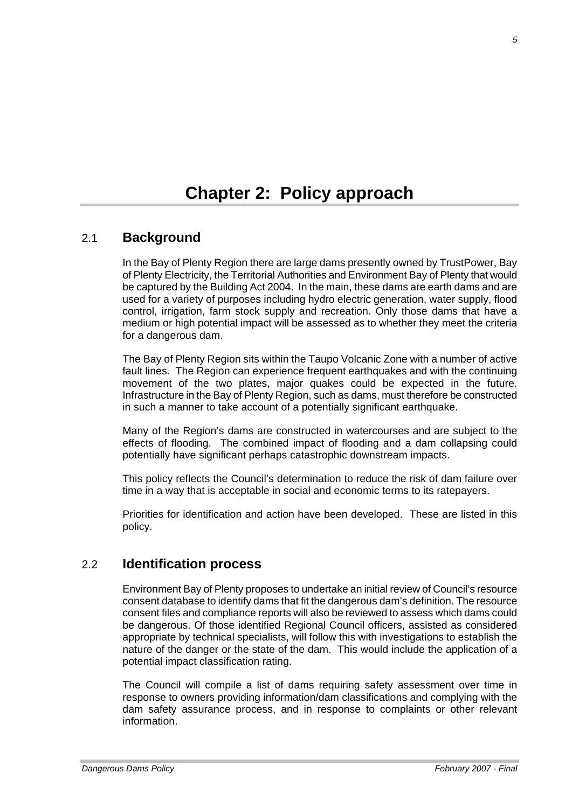# **Chapter 2: Policy approach**

# 2.1 **Background**

In the Bay of Plenty Region there are large dams presently owned by TrustPower, Bay of Plenty Electricity, the Territorial Authorities and Environment Bay of Plenty that would be captured by the Building Act 2004. In the main, these dams are earth dams and are used for a variety of purposes including hydro electric generation, water supply, flood control, irrigation, farm stock supply and recreation. Only those dams that have a medium or high potential impact will be assessed as to whether they meet the criteria for a dangerous dam.

The Bay of Plenty Region sits within the Taupo Volcanic Zone with a number of active fault lines. The Region can experience frequent earthquakes and with the continuing movement of the two plates, major quakes could be expected in the future. Infrastructure in the Bay of Plenty Region, such as dams, must therefore be constructed in such a manner to take account of a potentially significant earthquake.

Many of the Region's dams are constructed in watercourses and are subject to the effects of flooding. The combined impact of flooding and a dam collapsing could potentially have significant perhaps catastrophic downstream impacts.

This policy reflects the Council's determination to reduce the risk of dam failure over time in a way that is acceptable in social and economic terms to its ratepayers.

Priorities for identification and action have been developed. These are listed in this policy.

# 2.2 **Identification process**

Environment Bay of Plenty proposes to undertake an initial review of Council's resource consent database to identify dams that fit the dangerous dam's definition. The resource consent files and compliance reports will also be reviewed to assess which dams could be dangerous. Of those identified Regional Council officers, assisted as considered appropriate by technical specialists, will follow this with investigations to establish the nature of the danger or the state of the dam. This would include the application of a potential impact classification rating.

The Council will compile a list of dams requiring safety assessment over time in response to owners providing information/dam classifications and complying with the dam safety assurance process, and in response to complaints or other relevant information.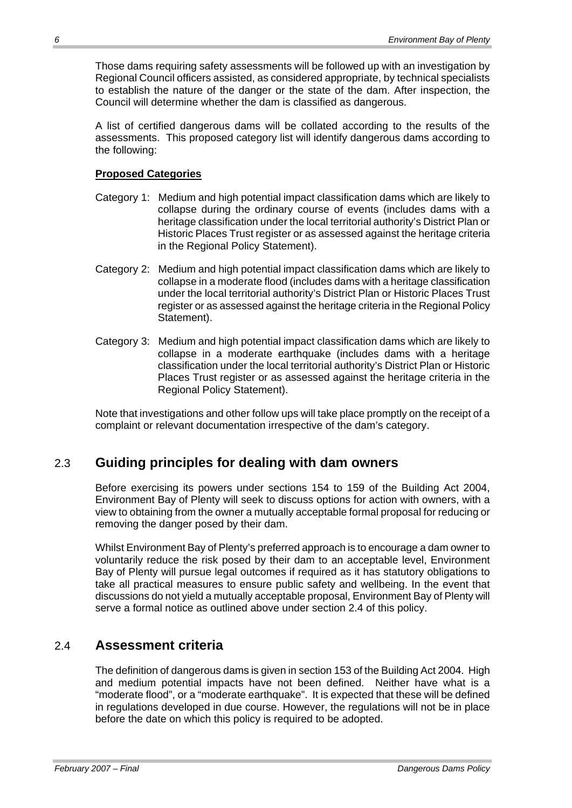Those dams requiring safety assessments will be followed up with an investigation by Regional Council officers assisted, as considered appropriate, by technical specialists to establish the nature of the danger or the state of the dam. After inspection, the Council will determine whether the dam is classified as dangerous.

A list of certified dangerous dams will be collated according to the results of the assessments. This proposed category list will identify dangerous dams according to the following:

# **Proposed Categories**

- Category 1: Medium and high potential impact classification dams which are likely to collapse during the ordinary course of events (includes dams with a heritage classification under the local territorial authority's District Plan or Historic Places Trust register or as assessed against the heritage criteria in the Regional Policy Statement).
- Category 2: Medium and high potential impact classification dams which are likely to collapse in a moderate flood (includes dams with a heritage classification under the local territorial authority's District Plan or Historic Places Trust register or as assessed against the heritage criteria in the Regional Policy Statement).
- Category 3: Medium and high potential impact classification dams which are likely to collapse in a moderate earthquake (includes dams with a heritage classification under the local territorial authority's District Plan or Historic Places Trust register or as assessed against the heritage criteria in the Regional Policy Statement).

Note that investigations and other follow ups will take place promptly on the receipt of a complaint or relevant documentation irrespective of the dam's category.

# 2.3 **Guiding principles for dealing with dam owners**

Before exercising its powers under sections 154 to 159 of the Building Act 2004, Environment Bay of Plenty will seek to discuss options for action with owners, with a view to obtaining from the owner a mutually acceptable formal proposal for reducing or removing the danger posed by their dam.

Whilst Environment Bay of Plenty's preferred approach is to encourage a dam owner to voluntarily reduce the risk posed by their dam to an acceptable level, Environment Bay of Plenty will pursue legal outcomes if required as it has statutory obligations to take all practical measures to ensure public safety and wellbeing. In the event that discussions do not yield a mutually acceptable proposal, Environment Bay of Plenty will serve a formal notice as outlined above under section 2.4 of this policy.

# 2.4 **Assessment criteria**

The definition of dangerous dams is given in section 153 of the Building Act 2004. High and medium potential impacts have not been defined. Neither have what is a "moderate flood", or a "moderate earthquake". It is expected that these will be defined in regulations developed in due course. However, the regulations will not be in place before the date on which this policy is required to be adopted.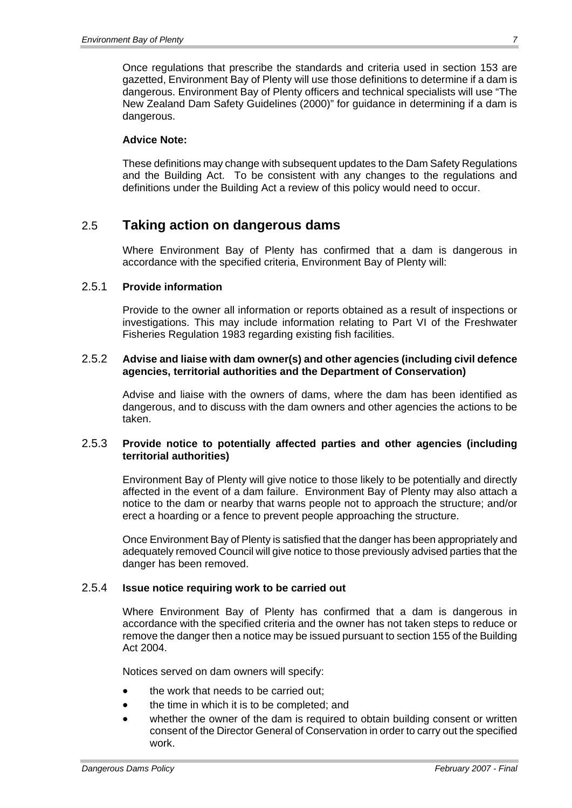Once regulations that prescribe the standards and criteria used in section 153 are gazetted, Environment Bay of Plenty will use those definitions to determine if a dam is dangerous. Environment Bay of Plenty officers and technical specialists will use "The New Zealand Dam Safety Guidelines (2000)" for guidance in determining if a dam is dangerous.

### **Advice Note:**

These definitions may change with subsequent updates to the Dam Safety Regulations and the Building Act. To be consistent with any changes to the regulations and definitions under the Building Act a review of this policy would need to occur.

# 2.5 **Taking action on dangerous dams**

Where Environment Bay of Plenty has confirmed that a dam is dangerous in accordance with the specified criteria, Environment Bay of Plenty will:

### 2.5.1 **Provide information**

Provide to the owner all information or reports obtained as a result of inspections or investigations. This may include information relating to Part VI of the Freshwater Fisheries Regulation 1983 regarding existing fish facilities.

#### 2.5.2 **Advise and liaise with dam owner(s) and other agencies (including civil defence agencies, territorial authorities and the Department of Conservation)**

Advise and liaise with the owners of dams, where the dam has been identified as dangerous, and to discuss with the dam owners and other agencies the actions to be taken.

### 2.5.3 **Provide notice to potentially affected parties and other agencies (including territorial authorities)**

Environment Bay of Plenty will give notice to those likely to be potentially and directly affected in the event of a dam failure. Environment Bay of Plenty may also attach a notice to the dam or nearby that warns people not to approach the structure; and/or erect a hoarding or a fence to prevent people approaching the structure.

Once Environment Bay of Plenty is satisfied that the danger has been appropriately and adequately removed Council will give notice to those previously advised parties that the danger has been removed.

## 2.5.4 **Issue notice requiring work to be carried out**

Where Environment Bay of Plenty has confirmed that a dam is dangerous in accordance with the specified criteria and the owner has not taken steps to reduce or remove the danger then a notice may be issued pursuant to section 155 of the Building Act 2004.

Notices served on dam owners will specify:

- the work that needs to be carried out;
- the time in which it is to be completed; and
- whether the owner of the dam is required to obtain building consent or written consent of the Director General of Conservation in order to carry out the specified work.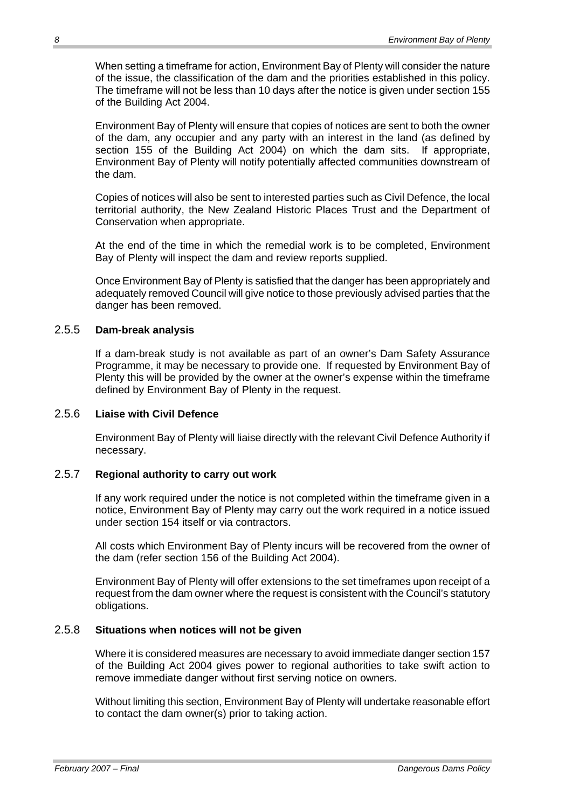When setting a timeframe for action, Environment Bay of Plenty will consider the nature of the issue, the classification of the dam and the priorities established in this policy. The timeframe will not be less than 10 days after the notice is given under section 155 of the Building Act 2004.

Environment Bay of Plenty will ensure that copies of notices are sent to both the owner of the dam, any occupier and any party with an interest in the land (as defined by section 155 of the Building Act 2004) on which the dam sits. If appropriate, Environment Bay of Plenty will notify potentially affected communities downstream of the dam.

Copies of notices will also be sent to interested parties such as Civil Defence, the local territorial authority, the New Zealand Historic Places Trust and the Department of Conservation when appropriate.

At the end of the time in which the remedial work is to be completed, Environment Bay of Plenty will inspect the dam and review reports supplied.

Once Environment Bay of Plenty is satisfied that the danger has been appropriately and adequately removed Council will give notice to those previously advised parties that the danger has been removed.

### 2.5.5 **Dam-break analysis**

If a dam-break study is not available as part of an owner's Dam Safety Assurance Programme, it may be necessary to provide one. If requested by Environment Bay of Plenty this will be provided by the owner at the owner's expense within the timeframe defined by Environment Bay of Plenty in the request.

### 2.5.6 **Liaise with Civil Defence**

Environment Bay of Plenty will liaise directly with the relevant Civil Defence Authority if necessary.

## 2.5.7 **Regional authority to carry out work**

If any work required under the notice is not completed within the timeframe given in a notice, Environment Bay of Plenty may carry out the work required in a notice issued under section 154 itself or via contractors.

All costs which Environment Bay of Plenty incurs will be recovered from the owner of the dam (refer section 156 of the Building Act 2004).

Environment Bay of Plenty will offer extensions to the set timeframes upon receipt of a request from the dam owner where the request is consistent with the Council's statutory obligations.

# 2.5.8 **Situations when notices will not be given**

Where it is considered measures are necessary to avoid immediate danger section 157 of the Building Act 2004 gives power to regional authorities to take swift action to remove immediate danger without first serving notice on owners.

Without limiting this section, Environment Bay of Plenty will undertake reasonable effort to contact the dam owner(s) prior to taking action.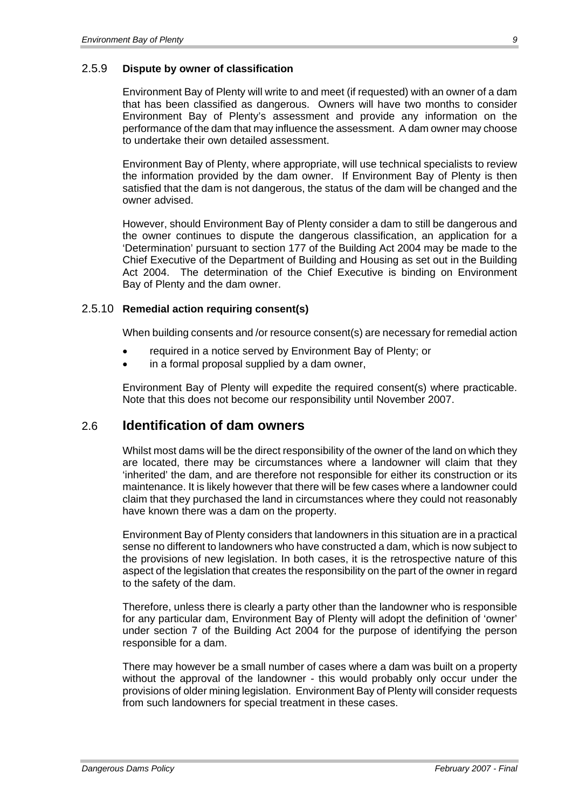## 2.5.9 **Dispute by owner of classification**

Environment Bay of Plenty will write to and meet (if requested) with an owner of a dam that has been classified as dangerous. Owners will have two months to consider Environment Bay of Plenty's assessment and provide any information on the performance of the dam that may influence the assessment. A dam owner may choose to undertake their own detailed assessment.

Environment Bay of Plenty, where appropriate, will use technical specialists to review the information provided by the dam owner. If Environment Bay of Plenty is then satisfied that the dam is not dangerous, the status of the dam will be changed and the owner advised.

However, should Environment Bay of Plenty consider a dam to still be dangerous and the owner continues to dispute the dangerous classification, an application for a 'Determination' pursuant to section 177 of the Building Act 2004 may be made to the Chief Executive of the Department of Building and Housing as set out in the Building Act 2004. The determination of the Chief Executive is binding on Environment Bay of Plenty and the dam owner.

### 2.5.10 **Remedial action requiring consent(s)**

When building consents and /or resource consent(s) are necessary for remedial action

- required in a notice served by Environment Bay of Plenty; or
- in a formal proposal supplied by a dam owner,

Environment Bay of Plenty will expedite the required consent(s) where practicable. Note that this does not become our responsibility until November 2007.

# 2.6 **Identification of dam owners**

Whilst most dams will be the direct responsibility of the owner of the land on which they are located, there may be circumstances where a landowner will claim that they 'inherited' the dam, and are therefore not responsible for either its construction or its maintenance. It is likely however that there will be few cases where a landowner could claim that they purchased the land in circumstances where they could not reasonably have known there was a dam on the property.

Environment Bay of Plenty considers that landowners in this situation are in a practical sense no different to landowners who have constructed a dam, which is now subject to the provisions of new legislation. In both cases, it is the retrospective nature of this aspect of the legislation that creates the responsibility on the part of the owner in regard to the safety of the dam.

Therefore, unless there is clearly a party other than the landowner who is responsible for any particular dam, Environment Bay of Plenty will adopt the definition of 'owner' under section 7 of the Building Act 2004 for the purpose of identifying the person responsible for a dam.

There may however be a small number of cases where a dam was built on a property without the approval of the landowner - this would probably only occur under the provisions of older mining legislation. Environment Bay of Plenty will consider requests from such landowners for special treatment in these cases.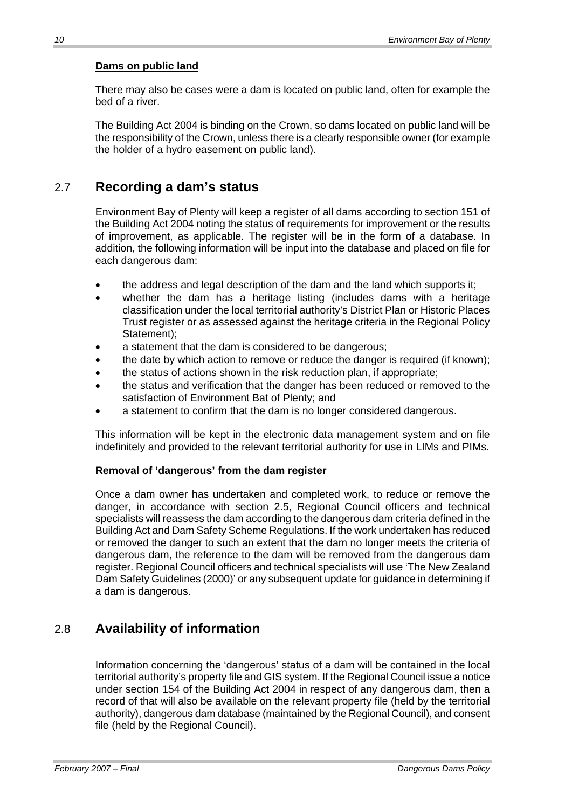## **Dams on public land**

There may also be cases were a dam is located on public land, often for example the bed of a river.

The Building Act 2004 is binding on the Crown, so dams located on public land will be the responsibility of the Crown, unless there is a clearly responsible owner (for example the holder of a hydro easement on public land).

# 2.7 **Recording a dam's status**

Environment Bay of Plenty will keep a register of all dams according to section 151 of the Building Act 2004 noting the status of requirements for improvement or the results of improvement, as applicable. The register will be in the form of a database. In addition, the following information will be input into the database and placed on file for each dangerous dam:

- the address and legal description of the dam and the land which supports it;
- whether the dam has a heritage listing (includes dams with a heritage classification under the local territorial authority's District Plan or Historic Places Trust register or as assessed against the heritage criteria in the Regional Policy Statement):
- a statement that the dam is considered to be dangerous;
- the date by which action to remove or reduce the danger is required (if known);
- the status of actions shown in the risk reduction plan, if appropriate;
- the status and verification that the danger has been reduced or removed to the satisfaction of Environment Bat of Plenty; and
- a statement to confirm that the dam is no longer considered dangerous.

This information will be kept in the electronic data management system and on file indefinitely and provided to the relevant territorial authority for use in LIMs and PIMs.

## **Removal of 'dangerous' from the dam register**

Once a dam owner has undertaken and completed work, to reduce or remove the danger, in accordance with section 2.5, Regional Council officers and technical specialists will reassess the dam according to the dangerous dam criteria defined in the Building Act and Dam Safety Scheme Regulations. If the work undertaken has reduced or removed the danger to such an extent that the dam no longer meets the criteria of dangerous dam, the reference to the dam will be removed from the dangerous dam register. Regional Council officers and technical specialists will use 'The New Zealand Dam Safety Guidelines (2000)' or any subsequent update for guidance in determining if a dam is dangerous.

# 2.8 **Availability of information**

Information concerning the 'dangerous' status of a dam will be contained in the local territorial authority's property file and GIS system. If the Regional Council issue a notice under section 154 of the Building Act 2004 in respect of any dangerous dam, then a record of that will also be available on the relevant property file (held by the territorial authority), dangerous dam database (maintained by the Regional Council), and consent file (held by the Regional Council).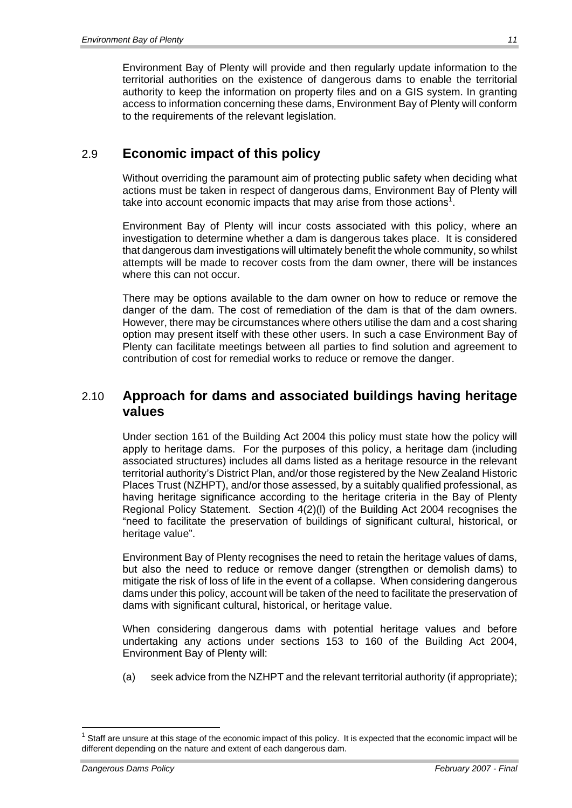Environment Bay of Plenty will provide and then regularly update information to the territorial authorities on the existence of dangerous dams to enable the territorial authority to keep the information on property files and on a GIS system. In granting access to information concerning these dams, Environment Bay of Plenty will conform to the requirements of the relevant legislation.

# 2.9 **Economic impact of this policy**

Without overriding the paramount aim of protecting public safety when deciding what actions must be taken in respect of dangerous dams, Environment Bay of Plenty will take into account economic impacts that may arise from those actions<sup>1</sup>.

Environment Bay of Plenty will incur costs associated with this policy, where an investigation to determine whether a dam is dangerous takes place. It is considered that dangerous dam investigations will ultimately benefit the whole community, so whilst attempts will be made to recover costs from the dam owner, there will be instances where this can not occur.

There may be options available to the dam owner on how to reduce or remove the danger of the dam. The cost of remediation of the dam is that of the dam owners. However, there may be circumstances where others utilise the dam and a cost sharing option may present itself with these other users. In such a case Environment Bay of Plenty can facilitate meetings between all parties to find solution and agreement to contribution of cost for remedial works to reduce or remove the danger.

# 2.10 **Approach for dams and associated buildings having heritage values**

Under section 161 of the Building Act 2004 this policy must state how the policy will apply to heritage dams. For the purposes of this policy, a heritage dam (including associated structures) includes all dams listed as a heritage resource in the relevant territorial authority's District Plan, and/or those registered by the New Zealand Historic Places Trust (NZHPT), and/or those assessed, by a suitably qualified professional, as having heritage significance according to the heritage criteria in the Bay of Plenty Regional Policy Statement. Section 4(2)(l) of the Building Act 2004 recognises the "need to facilitate the preservation of buildings of significant cultural, historical, or heritage value".

Environment Bay of Plenty recognises the need to retain the heritage values of dams, but also the need to reduce or remove danger (strengthen or demolish dams) to mitigate the risk of loss of life in the event of a collapse. When considering dangerous dams under this policy, account will be taken of the need to facilitate the preservation of dams with significant cultural, historical, or heritage value.

When considering dangerous dams with potential heritage values and before undertaking any actions under sections 153 to 160 of the Building Act 2004, Environment Bay of Plenty will:

(a) seek advice from the NZHPT and the relevant territorial authority (if appropriate);

1

 $1$  Staff are unsure at this stage of the economic impact of this policy. It is expected that the economic impact will be different depending on the nature and extent of each dangerous dam.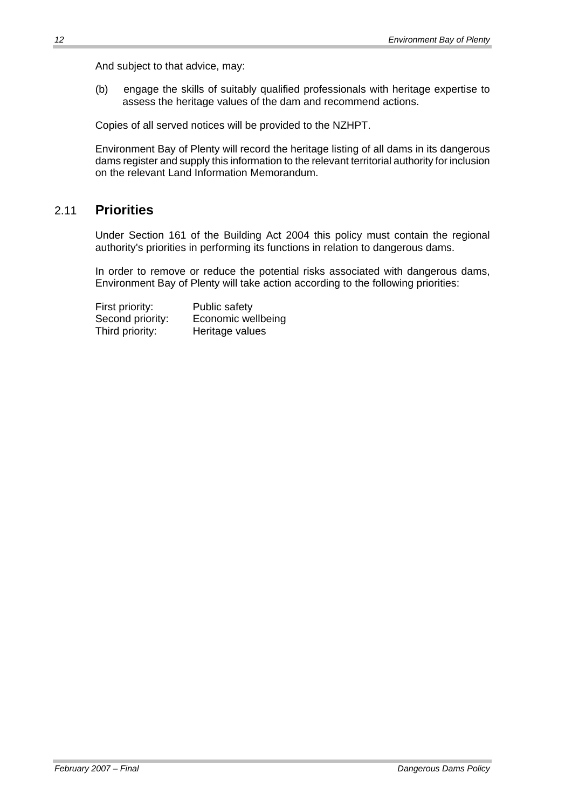And subject to that advice, may:

(b) engage the skills of suitably qualified professionals with heritage expertise to assess the heritage values of the dam and recommend actions.

Copies of all served notices will be provided to the NZHPT.

Environment Bay of Plenty will record the heritage listing of all dams in its dangerous dams register and supply this information to the relevant territorial authority for inclusion on the relevant Land Information Memorandum.

# 2.11 **Priorities**

Under Section 161 of the Building Act 2004 this policy must contain the regional authority's priorities in performing its functions in relation to dangerous dams.

In order to remove or reduce the potential risks associated with dangerous dams, Environment Bay of Plenty will take action according to the following priorities:

First priority: Public safety Second priority: Economic wellbeing Third priority: Heritage values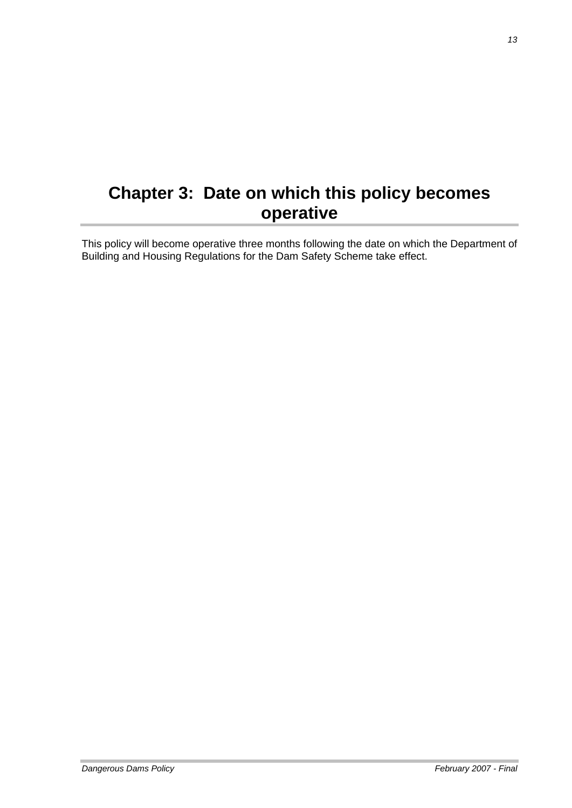# **Chapter 3: Date on which this policy becomes operative**

This policy will become operative three months following the date on which the Department of Building and Housing Regulations for the Dam Safety Scheme take effect.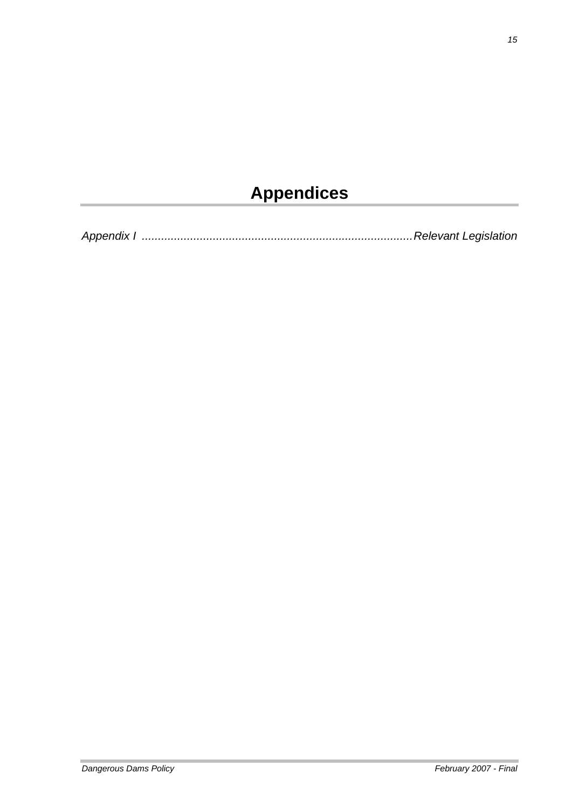# **Appendices**

*Appendix I ....................................................................................Relevant Legislation*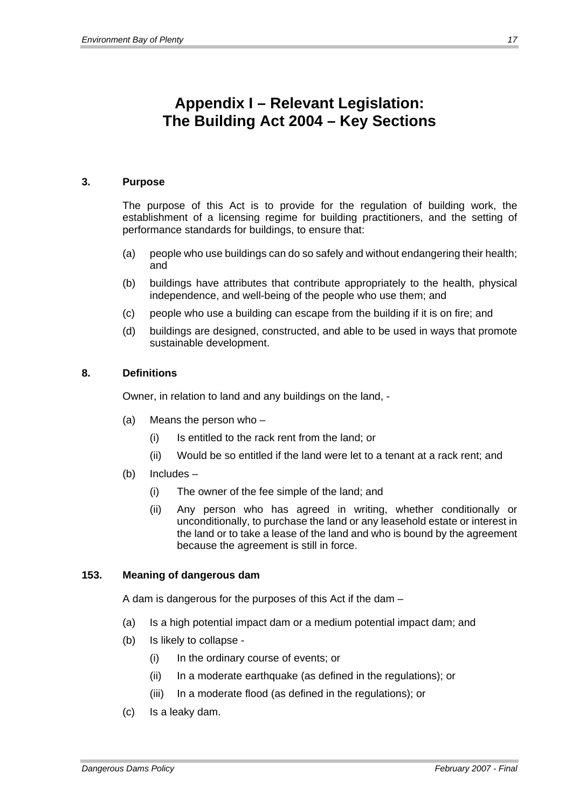# **Appendix I – Relevant Legislation: The Building Act 2004 – Key Sections**

## **3. Purpose**

The purpose of this Act is to provide for the regulation of building work, the establishment of a licensing regime for building practitioners, and the setting of performance standards for buildings, to ensure that:

- (a) people who use buildings can do so safely and without endangering their health; and
- (b) buildings have attributes that contribute appropriately to the health, physical independence, and well-being of the people who use them; and
- (c) people who use a building can escape from the building if it is on fire; and
- (d) buildings are designed, constructed, and able to be used in ways that promote sustainable development.

## **8. Definitions**

Owner, in relation to land and any buildings on the land, -

- (a) Means the person who
	- (i) Is entitled to the rack rent from the land; or
	- (ii) Would be so entitled if the land were let to a tenant at a rack rent; and
- (b) Includes
	- (i) The owner of the fee simple of the land; and
	- (ii) Any person who has agreed in writing, whether conditionally or unconditionally, to purchase the land or any leasehold estate or interest in the land or to take a lease of the land and who is bound by the agreement because the agreement is still in force.

## **153. Meaning of dangerous dam**

A dam is dangerous for the purposes of this Act if the dam –

- (a) Is a high potential impact dam or a medium potential impact dam; and
- (b) Is likely to collapse
	- (i) In the ordinary course of events; or
	- (ii) In a moderate earthquake (as defined in the regulations); or
	- (iii) In a moderate flood (as defined in the regulations); or
- (c) Is a leaky dam.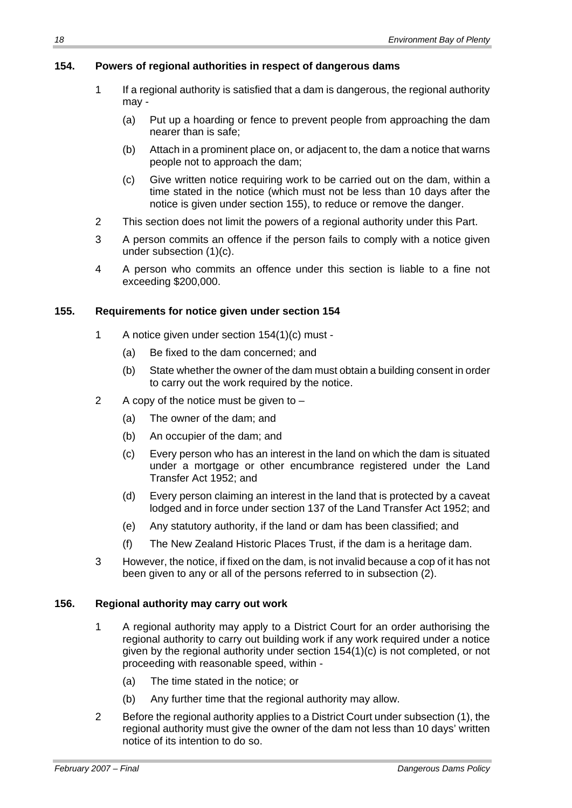# **154. Powers of regional authorities in respect of dangerous dams**

- 1 If a regional authority is satisfied that a dam is dangerous, the regional authority may -
	- (a) Put up a hoarding or fence to prevent people from approaching the dam nearer than is safe;
	- (b) Attach in a prominent place on, or adjacent to, the dam a notice that warns people not to approach the dam;
	- (c) Give written notice requiring work to be carried out on the dam, within a time stated in the notice (which must not be less than 10 days after the notice is given under section 155), to reduce or remove the danger.
- 2 This section does not limit the powers of a regional authority under this Part.
- 3 A person commits an offence if the person fails to comply with a notice given under subsection (1)(c).
- 4 A person who commits an offence under this section is liable to a fine not exceeding \$200,000.

## **155. Requirements for notice given under section 154**

- 1 A notice given under section 154(1)(c) must
	- (a) Be fixed to the dam concerned; and
	- (b) State whether the owner of the dam must obtain a building consent in order to carry out the work required by the notice.
- 2 A copy of the notice must be given to
	- (a) The owner of the dam; and
	- (b) An occupier of the dam; and
	- (c) Every person who has an interest in the land on which the dam is situated under a mortgage or other encumbrance registered under the Land Transfer Act 1952; and
	- (d) Every person claiming an interest in the land that is protected by a caveat lodged and in force under section 137 of the Land Transfer Act 1952; and
	- (e) Any statutory authority, if the land or dam has been classified; and
	- (f) The New Zealand Historic Places Trust, if the dam is a heritage dam.
- 3 However, the notice, if fixed on the dam, is not invalid because a cop of it has not been given to any or all of the persons referred to in subsection (2).

## **156. Regional authority may carry out work**

- 1 A regional authority may apply to a District Court for an order authorising the regional authority to carry out building work if any work required under a notice given by the regional authority under section 154(1)(c) is not completed, or not proceeding with reasonable speed, within -
	- (a) The time stated in the notice; or
	- (b) Any further time that the regional authority may allow.
- 2 Before the regional authority applies to a District Court under subsection (1), the regional authority must give the owner of the dam not less than 10 days' written notice of its intention to do so.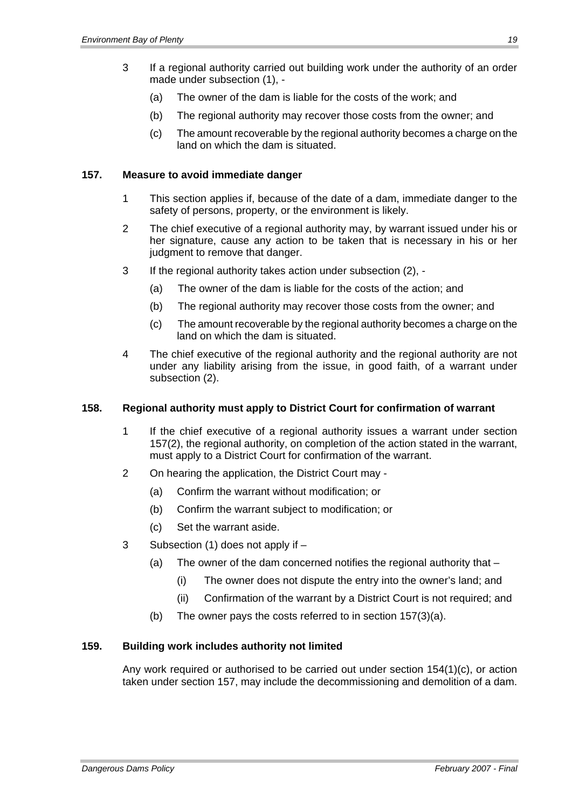- 3 If a regional authority carried out building work under the authority of an order made under subsection (1), -
	- (a) The owner of the dam is liable for the costs of the work; and
	- (b) The regional authority may recover those costs from the owner; and
	- (c) The amount recoverable by the regional authority becomes a charge on the land on which the dam is situated.

#### **157. Measure to avoid immediate danger**

- 1 This section applies if, because of the date of a dam, immediate danger to the safety of persons, property, or the environment is likely.
- 2 The chief executive of a regional authority may, by warrant issued under his or her signature, cause any action to be taken that is necessary in his or her judgment to remove that danger.
- 3 If the regional authority takes action under subsection (2),
	- (a) The owner of the dam is liable for the costs of the action; and
	- (b) The regional authority may recover those costs from the owner; and
	- (c) The amount recoverable by the regional authority becomes a charge on the land on which the dam is situated.
- 4 The chief executive of the regional authority and the regional authority are not under any liability arising from the issue, in good faith, of a warrant under subsection (2).

#### **158. Regional authority must apply to District Court for confirmation of warrant**

- 1 If the chief executive of a regional authority issues a warrant under section 157(2), the regional authority, on completion of the action stated in the warrant, must apply to a District Court for confirmation of the warrant.
- 2 On hearing the application, the District Court may
	- (a) Confirm the warrant without modification; or
	- (b) Confirm the warrant subject to modification; or
	- (c) Set the warrant aside.
- 3 Subsection (1) does not apply if
	- (a) The owner of the dam concerned notifies the regional authority that
		- (i) The owner does not dispute the entry into the owner's land; and
		- (ii) Confirmation of the warrant by a District Court is not required; and
	- (b) The owner pays the costs referred to in section 157(3)(a).

### **159. Building work includes authority not limited**

Any work required or authorised to be carried out under section 154(1)(c), or action taken under section 157, may include the decommissioning and demolition of a dam.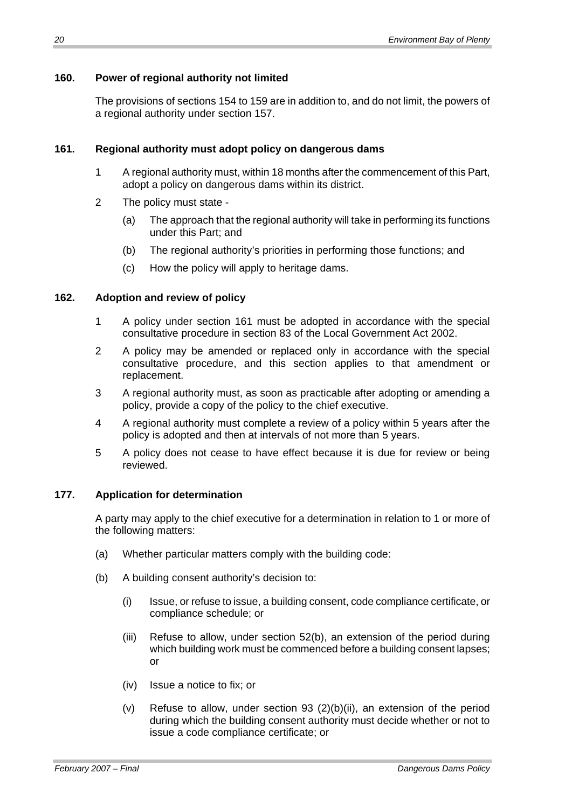## **160. Power of regional authority not limited**

The provisions of sections 154 to 159 are in addition to, and do not limit, the powers of a regional authority under section 157.

## **161. Regional authority must adopt policy on dangerous dams**

- 1 A regional authority must, within 18 months after the commencement of this Part, adopt a policy on dangerous dams within its district.
- 2 The policy must state
	- (a) The approach that the regional authority will take in performing its functions under this Part; and
	- (b) The regional authority's priorities in performing those functions; and
	- (c) How the policy will apply to heritage dams.

### **162. Adoption and review of policy**

- 1 A policy under section 161 must be adopted in accordance with the special consultative procedure in section 83 of the Local Government Act 2002.
- 2 A policy may be amended or replaced only in accordance with the special consultative procedure, and this section applies to that amendment or replacement.
- 3 A regional authority must, as soon as practicable after adopting or amending a policy, provide a copy of the policy to the chief executive.
- 4 A regional authority must complete a review of a policy within 5 years after the policy is adopted and then at intervals of not more than 5 years.
- 5 A policy does not cease to have effect because it is due for review or being reviewed.

## **177. Application for determination**

A party may apply to the chief executive for a determination in relation to 1 or more of the following matters:

- (a) Whether particular matters comply with the building code:
- (b) A building consent authority's decision to:
	- (i) Issue, or refuse to issue, a building consent, code compliance certificate, or compliance schedule; or
	- (iii) Refuse to allow, under section 52(b), an extension of the period during which building work must be commenced before a building consent lapses: or
	- (iv) Issue a notice to fix; or
	- (v) Refuse to allow, under section 93 (2)(b)(ii), an extension of the period during which the building consent authority must decide whether or not to issue a code compliance certificate; or